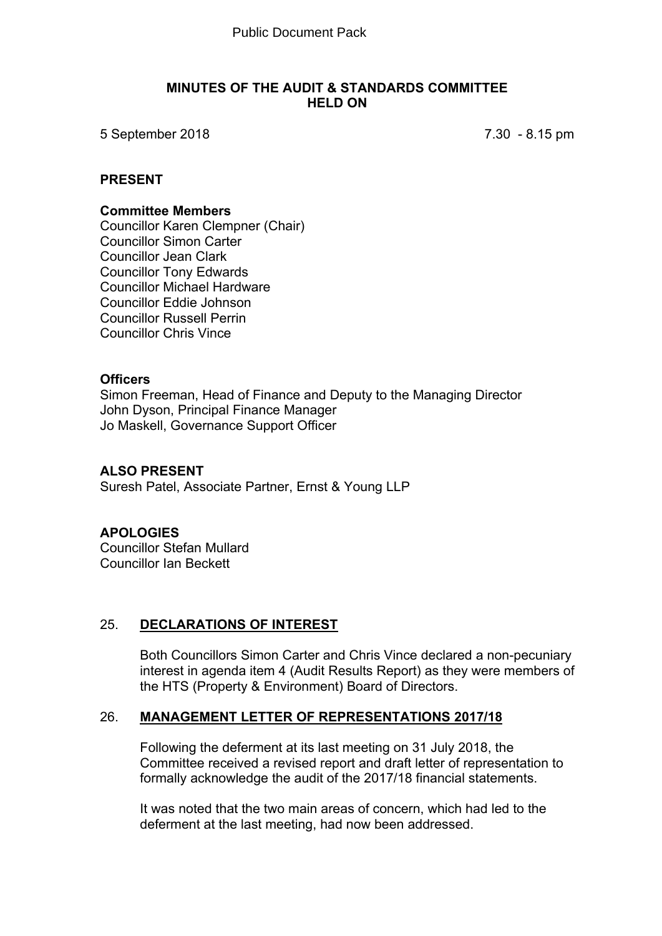#### **MINUTES OF THE AUDIT & STANDARDS COMMITTEE HELD ON**

5 September 2018 7.30 - 8.15 pm

#### **PRESENT**

#### **Committee Members**

Councillor Karen Clempner (Chair) Councillor Simon Carter Councillor Jean Clark Councillor Tony Edwards Councillor Michael Hardware Councillor Eddie Johnson Councillor Russell Perrin Councillor Chris Vince

#### **Officers**

Simon Freeman, Head of Finance and Deputy to the Managing Director John Dyson, Principal Finance Manager Jo Maskell, Governance Support Officer

## **ALSO PRESENT**

Suresh Patel, Associate Partner, Ernst & Young LLP

#### **APOLOGIES**

Councillor Stefan Mullard Councillor Ian Beckett

#### 25. **DECLARATIONS OF INTEREST**

Both Councillors Simon Carter and Chris Vince declared a non-pecuniary interest in agenda item 4 (Audit Results Report) as they were members of the HTS (Property & Environment) Board of Directors.

#### 26. **MANAGEMENT LETTER OF REPRESENTATIONS 2017/18**

Following the deferment at its last meeting on 31 July 2018, the Committee received a revised report and draft letter of representation to formally acknowledge the audit of the 2017/18 financial statements.

It was noted that the two main areas of concern, which had led to the deferment at the last meeting, had now been addressed.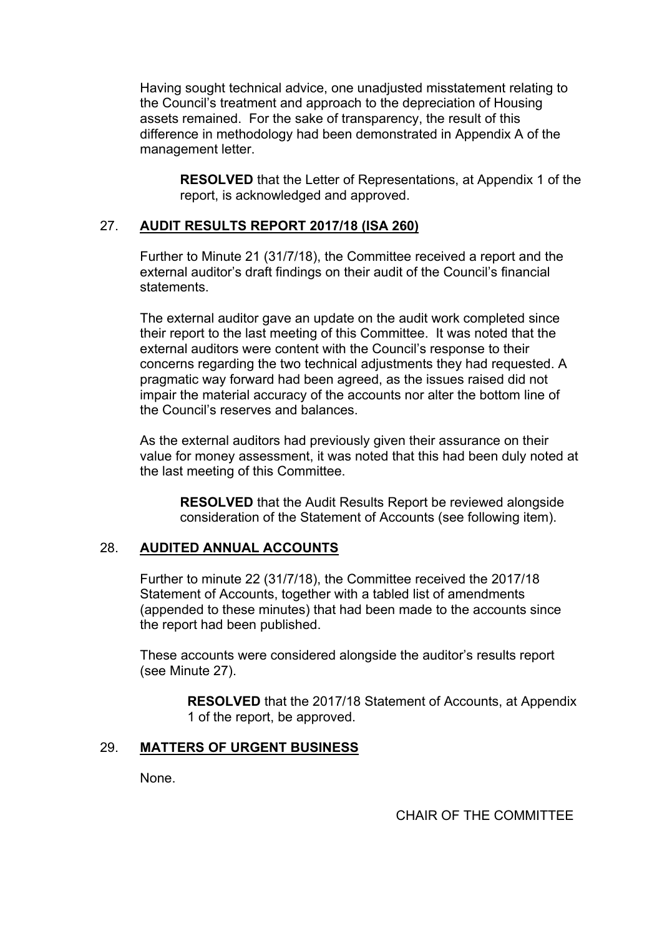Having sought technical advice, one unadjusted misstatement relating to the Council's treatment and approach to the depreciation of Housing assets remained. For the sake of transparency, the result of this difference in methodology had been demonstrated in Appendix A of the management letter.

**RESOLVED** that the Letter of Representations, at Appendix 1 of the report, is acknowledged and approved.

## 27. **AUDIT RESULTS REPORT 2017/18 (ISA 260)**

Further to Minute 21 (31/7/18), the Committee received a report and the external auditor's draft findings on their audit of the Council's financial statements.

The external auditor gave an update on the audit work completed since their report to the last meeting of this Committee. It was noted that the external auditors were content with the Council's response to their concerns regarding the two technical adjustments they had requested. A pragmatic way forward had been agreed, as the issues raised did not impair the material accuracy of the accounts nor alter the bottom line of the Council's reserves and balances.

As the external auditors had previously given their assurance on their value for money assessment, it was noted that this had been duly noted at the last meeting of this Committee.

**RESOLVED** that the Audit Results Report be reviewed alongside consideration of the Statement of Accounts (see following item).

#### 28. **AUDITED ANNUAL ACCOUNTS**

Further to minute 22 (31/7/18), the Committee received the 2017/18 Statement of Accounts, together with a tabled list of amendments (appended to these minutes) that had been made to the accounts since the report had been published.

These accounts were considered alongside the auditor's results report (see Minute 27).

> **RESOLVED** that the 2017/18 Statement of Accounts, at Appendix 1 of the report, be approved.

# 29. **MATTERS OF URGENT BUSINESS**

None.

CHAIR OF THE COMMITTEE